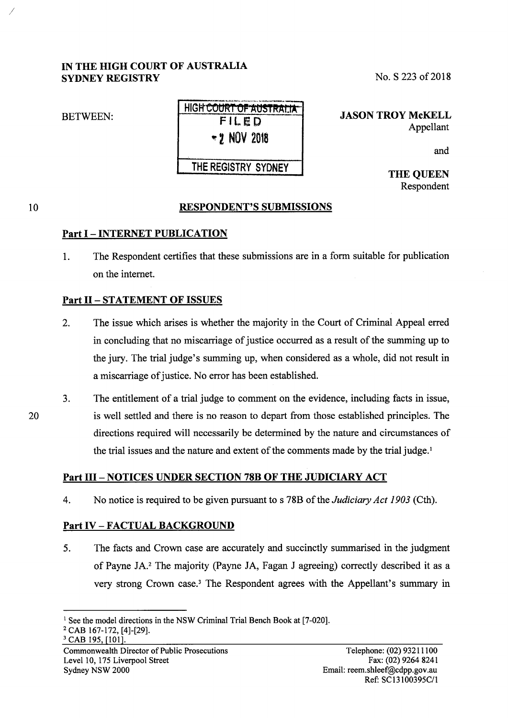# IN THE HIGH COURT OF AUSTRALIA SYDNEY REGISTRY

# BETWEEN:

I

| HIGH COURT OF AUSTRALIA" |
|--------------------------|
| FILED                    |
| $-2$ NOV 2018            |

# THE REGISTRY SYDNEY

JASON TROY McKELL

No. S 223 of 2018

Appellant

and

THE QUEEN Respondent

# RESPONDENT'S SUBMISSIONS

# Part I - INTERNET PUBLICATION

1. The Respondent certifies that these submissions are in a form suitable for publication on the internet.

# Part II - STATEMENT OF ISSUES

- 2. The issue which arises is whether the majority in the Court of Criminal Appeal erred in concluding that no miscarriage of justice occurred as a result of the summing up to the jury. The trial judge's summing up, when considered as a whole, did not result in a miscarriage of justice. No error has been established.
- 3. The entitlement of a trial judge to comment on the evidence, including facts in issue, is well settled and there is no reason to depart from those established principles. The directions required will necessarily be determined by the nature and circumstances of the trial issues and the nature and extent of the comments made by the trial judge.<sup>1</sup>

# Part III - NOTICES UNDER SECTION 78B OF THE JUDICIARY ACT

4. No notice is required to be given pursuant to s 78B ofthe *Judiciary Act 1903* (Cth).

# Part IV - FACTUAL BACKGROUND

5. The facts and Crown case are accurately and succinctly summarised in the judgment of Payne JA. 2 The majority (Payne JA, Fagan J agreeing) correctly described it as a very strong Crown case.<sup>3</sup> The Respondent agrees with the Appellant's summary in

Commonwealth Director of Public Prosecutions Level 10, 175 Liverpool Street Sydney NSW 2000

20

<sup>&</sup>lt;sup>1</sup> See the model directions in the NSW Criminal Trial Bench Book at [7-020].<br><sup>2</sup> CAB 167-172, [4]-[29].<br><sup>3</sup> CAB 195, [101].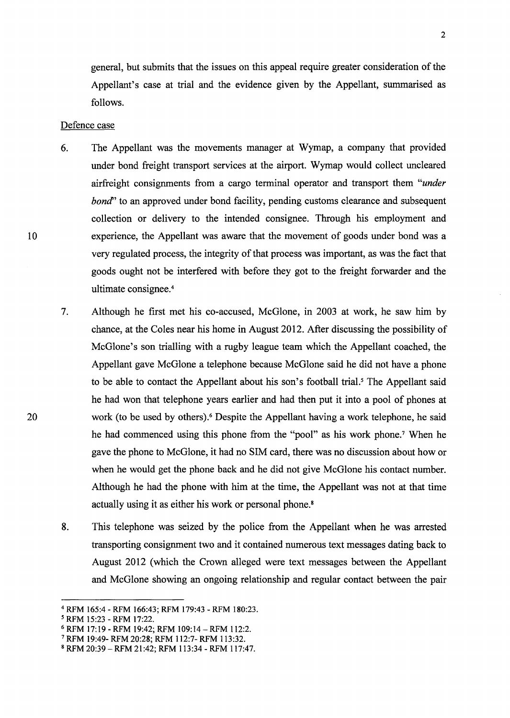general, but submits that the issues on this appeal require greater consideration of the Appellant's case at trial and the evidence given by the Appellant, summarised as follows.

#### Defence case

- 6. The Appellant was the movements manager at Wymap, a company that provided under bond freight transport services at the airport. Wymap would collect uncleared airfreight consignments from a cargo terminal operator and transport them *"under bond*" to an approved under bond facility, pending customs clearance and subsequent collection or delivery to the intended consignee. Through his employment and experience, the Appellant was aware that the movement of goods under bond was a very regulated process, the integrity of that process was important, as was the fact that goods ought not be interfered with before they got to the freight forwarder and the ultimate consignee. <sup>4</sup>
- 7. Although he first met his co-accused, McGlone, in 2003 at work, he saw him by chance, at the Coles near his home in August 2012. After discussing the possibility of McGlone's son trialling with a rugby league team which the Appellant coached, the Appellant gave McGlone a telephone because McGlone said he did not have a phone to be able to contact the Appellant about his son's football trial.<sup>5</sup> The Appellant said he had won that telephone years earlier and had then put it into a pool of phones at work (to be used by others).<sup>6</sup> Despite the Appellant having a work telephone, he said he had commenced using this phone from the "pool" as his work phone.<sup>7</sup> When he gave the phone to McGlone, it had no SIM card, there was no discussion about how or when he would get the phone back and he did not give McGlone his contact number. Although he had the phone with him at the time, the Appellant was not at that time actually using it as either his work or personal phone. 8
- 8. This telephone was seized by the police from the Appellant when he was arrested transporting consignment two and it contained numerous text messages dating back to August 2012 (which the Crown alleged were text messages between the Appellant and McGlone showing an ongoing relationship and regular contact between the pair

<sup>4</sup>RFM 165:4- RFM 166:43; RFM 179:43- RFM 180:23.

<sup>&</sup>lt;sup>5</sup> RFM 15:23 - RFM 17:22.<br><sup>6</sup> RFM 17:19 - RFM 19:42; RFM 109:14 – RFM 112:2.<br><sup>7</sup> RFM 19:49- RFM 20:28; RFM 112:7- RFM 113:32.<br><sup>8</sup> RFM 20:39 – RFM 21:42; RFM 113:34 - RFM 117:47.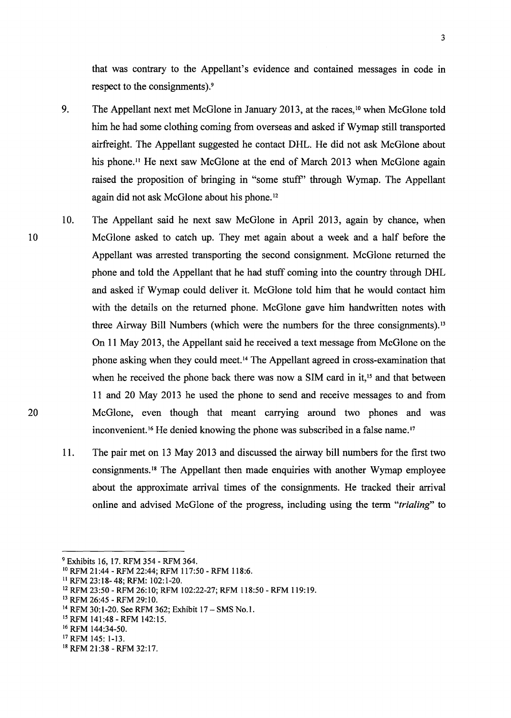that was contrary to the Appellant's evidence and contained messages in code in respect to the consignments).<sup>9</sup>

- 9. The Appellant next met McGlone in January 2013, at the races, <sup>10</sup> when McGlone told him he had some clothing coming from overseas and asked if Wymap still transported airfreight. The Appellant suggested he contact DHL. He did not ask McGlone about his phone.<sup>11</sup> He next saw McGlone at the end of March 2013 when McGlone again raised the proposition of bringing in "some stuff' through Wymap. The Appellant again did not ask McGlone about his phone. 12
- 10. The Appellant said he next saw McGlone in April 2013, again by chance, when McGlone asked to catch up. They met again about a week and a half before the Appellant was arrested transporting the second consignment. McGlone returned the phone and told the Appellant that he had stuff coming into the country through DHL and asked if Wymap could deliver it. McGlone told him that he would contact him with the details on the returned phone. McGlone gave him handwritten notes with three Airway Bill Numbers (which were the numbers for the three consignments). <sup>13</sup> On 11 May 2013, the Appellant said he received a text message from McGlone on the phone asking when they could meet. 14 The Appellant agreed in cross-examination that when he received the phone back there was now a SIM card in it,<sup>15</sup> and that between 11 and 20 May 2013 he used the phone to send and receive messages to and from McGlone, even though that meant carrying around two phones and was inconvenient.<sup>16</sup> He denied knowing the phone was subscribed in a false name.<sup>17</sup>
	- 11. The pair met on 13 May 2013 and discussed the airway bill numbers for the first two consignments. 18 The Appellant then made enquiries with another Wymap employee about the approximate arrival times of the consignments. He tracked their arrival online and advised McGlone of the progress, including using the term *"trialing"* to

<sup>&</sup>lt;sup>9</sup> Exhibits 16, 17. RFM 354 - RFM 364.<br><sup>10</sup> RFM 21:44 - RFM 22:44; RFM 117:50 - RFM 118:6.<br><sup>11</sup> RFM 23:18-48: RFM: 102:1-20.

<sup>&</sup>lt;sup>12</sup> RFM 23:50 - RFM 26:10; RFM 102:22-27; RFM 118:50 - RFM 119:19.<br><sup>13</sup> RFM 26:45 - RFM 29:10.<br><sup>14</sup> RFM 30:1-20. See RFM 362; Exhibit 17 – SMS No.1.<br><sup>15</sup> RFM 141:48 - RFM 142:15.<br><sup>15</sup> RFM 144:34-50.<br><sup>17</sup> RFM 145: 1-13.<br><sup></sup>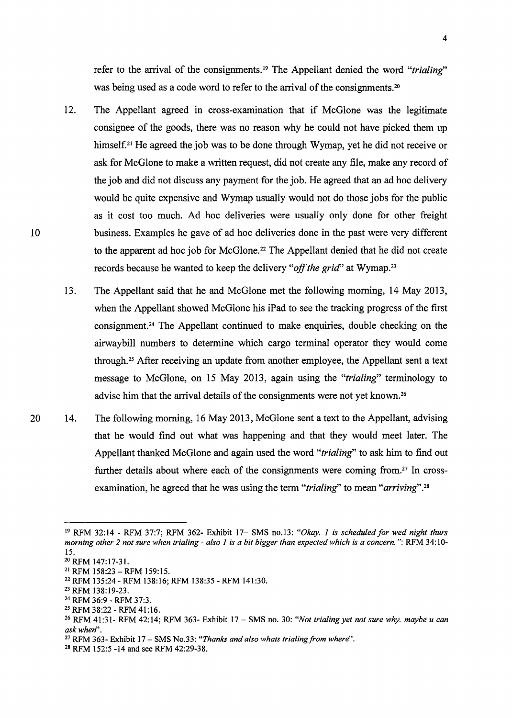refer to the arrival of the consignments.<sup>19</sup> The Appellant denied the word "trialing" was being used as a code word to refer to the arrival of the consignments.<sup>20</sup>

- 12. The Appellant agreed in cross-examination that if McGlone was the legitimate consignee of the goods, there was no reason why he could not have picked them up himself.<sup>21</sup> He agreed the job was to be done through Wymap, yet he did not receive or ask for McGlone to make a written request, did not create any file, make any record of the job and did not discuss any payment for the job. He agreed that an ad hoc delivery would be quite expensive and Wymap usually would not do those jobs for the public as it cost too much. Ad hoc deliveries were usually only done for other freight business. Examples he gave of ad hoc deliveries done in the past were very different to the apparent ad hoc job for McGlone.<sup>22</sup> The Appellant denied that he did not create records because he wanted to keep the delivery *"off the grid'* at Wymap. 23
- 13. The Appellant said that he and McGlone met the following morning, 14 May 2013, when the Appellant showed McGlone his iPad to see the tracking progress of the first consignment. 24 The Appellant continued to make enquiries, double checking on the airwaybill numbers to determine which cargo terminal operator they would come through. 25 After receiving an update from another employee, the Appellant sent a text message to McGlone, on 15 May 2013, again using the *"trialing"* terminology to advise him that the arrival details of the consignments were not yet known.<sup>26</sup>
- 14. The following morning, 16 May 2013, McGlone sent a text to the Appellant, advising that he would find out what was happening and that they would meet later. The Appellant thanked McGlone and again used the word *"trialing"* to ask him to find out further details about where each of the consignments were coming from.<sup>27</sup> In crossexamination, he agreed that he was using the term *"trialing''* to mean *"arriving".* <sup>28</sup>

<sup>19</sup>RFM 32:14 - RFM 37:7; RFM 362- Exhibit 17- SMS no.l3: *"Okay. 1 is scheduled for wed night thurs morning other 2 not sure when trialing - also 1 is a bit bigger than expected which is a concern.": RFM 34:10-*15.

<sup>20</sup> RFM 147:17-31.

<sup>21</sup>RFM 158:23- RFM 159:15.

<sup>&</sup>lt;sup>22</sup> RFM 135:24 - RFM 138:16; RFM 138:35 - RFM 141:30.<br><sup>23</sup> RFM 138:19-23.<br><sup>24</sup> RFM 36:9 - RFM 37:3.<br><sup>25</sup> RFM 38:22 - RFM 41:16.<br><sup>25</sup> RFM 41:31- RFM 42:14; RFM 363- Exhibit 17 – SMS no. 30: *"Not trialing yet not sure why ask when".* 

<sup>&</sup>lt;sup>27</sup> RFM 363- Exhibit 17 – SMS No.33: "Thanks and also whats trialing from where".

<sup>28</sup> RFM 152:5 -14 and see RFM 42:29-38.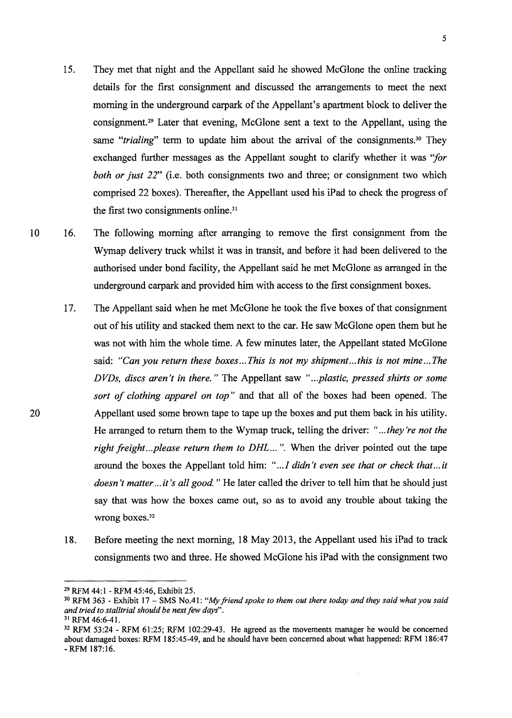- 15. They met that night and the Appellant said he showed McGlone the online tracking details for the first consignment and discussed the arrangements to meet the next morning in the underground carpark of the Appellant's apartment block to deliver the consignment. 29 Later that evening, McGlone sent a text to the Appellant, using the same *"trialing*" term to update him about the arrival of the consignments.<sup>30</sup> They exchanged further messages as the Appellant sought to clarify whether it was *"for both or just 22"* (i.e. both consignments two and three; or consignment two which comprised 22 boxes). Thereafter, the Appellant used his iPad to check the progress of the first two consignments online.<sup>31</sup>
- 10 16. The following morning after arranging to remove the first consignment from the Wymap delivery truck whilst it was in transit, and before it had been delivered to the authorised under bond facility, the Appellant said he met McGlone as arranged in the underground carpark and provided him with access to the first consignment boxes.
	- 17. The Appellant said when he met McGlone he took the five boxes of that consignment out of his utility and stacked them next to the car. He saw McGlone open them but he was not with him the whole time. A few minutes later, the Appellant stated McGlone said: *"Can you return these boxes ... This is not my shipment ... this is not mine ... The D VDs, discs aren't in there.* " The Appellant saw *" ... plastic, pressed shirts or some sort of clothing apparel on top"* and that all of the boxes had been opened. The Appellant used some brown tape to tape up the boxes and put them back in his utility. He arranged to return them to the Wymap truck, telling the driver: *" ... they're not the right freight...please return them to DHL...*". When the driver pointed out the tape around the boxes the Appellant told him: *" ... I didn't even see that or check that ... it doesn't matter ... it's all good.* " He later called the driver to tell him that he should just say that was how the boxes came out, so as to avoid any trouble about taking the wrong boxes.<sup>32</sup>
	- 18. Before meeting the next morning, 18 May 2013, the Appellant used his iPad to track consignments two and three. He showed McGlone his iPad with the consignment two

<sup>&</sup>lt;sup>29</sup> RFM 44:1 - RFM 45:46, Exhibit 25.<br><sup>30</sup> RFM 363 - Exhibit 17 – SMS No.41: *"My friend spoke to them out there today and they said what you said* and tried to stalltrial should be next few days".

<sup>&</sup>lt;sup>31</sup> RFM 46:6-41.<br><sup>32</sup> RFM 53:24 - RFM 61:25; RFM 102:29-43. He agreed as the movements manager he would be concerned about damaged boxes: RFM 185:45-49, and he should have been concerned about what happened: RFM 186:47 - RFM 187:16.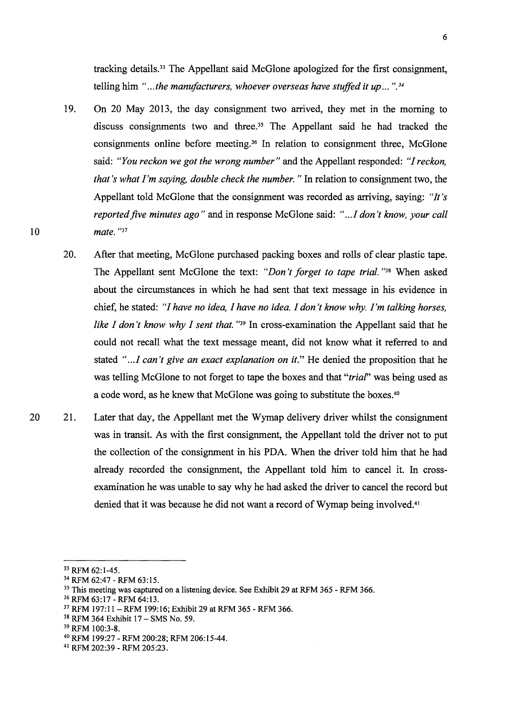tracking details. 33 The Appellant said McGlone apologized for the first consignment, telling him *" ... the manufacturers, whoever overseas have stuffed it up ...* ". *<sup>34</sup>*

- 19. On 20 May 2013, the day consignment two arrived, they met in the morning to discuss consignments two and three.<sup>35</sup> The Appellant said he had tracked the consignments online before meeting. 36 In relation to consignment three, McGlone said: *"You reckon we got the wrong number"* and the Appellant responded: *"I reckon, that's what I'm saying, double check the number."* In relation to consignment two, the Appellant told McGlone that the consignment was recorded as arriving, saying: *"It's reported five minutes ago"* and in response McGlone said: *" ..* .I *don 't know, your call mate.* "37
- 20. After that meeting, McGlone purchased packing boxes and rolls of clear plastic tape. The Appellant sent McGlone the text: *"Don't forget to tape trial.* "38 When asked about the circumstances in which he had sent that text message in his evidence in chief, he stated: *"I have no idea, I have no idea. I don't know why. I'm talking horses, like I don't know why I sent that.* "<sup>39</sup> In cross-examination the Appellant said that he could not recall what the text message meant, did not know what it referred to and stated "...*I can't give an exact explanation on it*." He denied the proposition that he was telling McGlone to not forget to tape the boxes and that *"triaf'* was being used as a code word, as he knew that McGlone was going to substitute the boxes.40
- 21. Later that day, the Appellant met the Wymap delivery driver whilst the consignment was in transit. As with the first consignment, the Appellant told the driver not to put the collection of the consignment in his PDA. When the driver told him that he had already recorded the consignment, the Appellant told him to cancel it. In crossexamination he was unable to say why he had asked the driver to cancel the record but denied that it was because he did not want a record of Wymap being involved.<sup>41</sup>

<sup>&</sup>lt;sup>33</sup> RFM 62:1-45.<br><sup>34</sup> RFM 62:47 - RFM 63:15.<br><sup>35</sup> This meeting was captured on a listening device. See Exhibit 29 at RFM 365 - RFM 366.<br><sup>36</sup> RFM 63:17 - RFM 199:16; Exhibit 29 at RFM 365 - RFM 366.<br><sup>37</sup> RFM 197:11 - RFM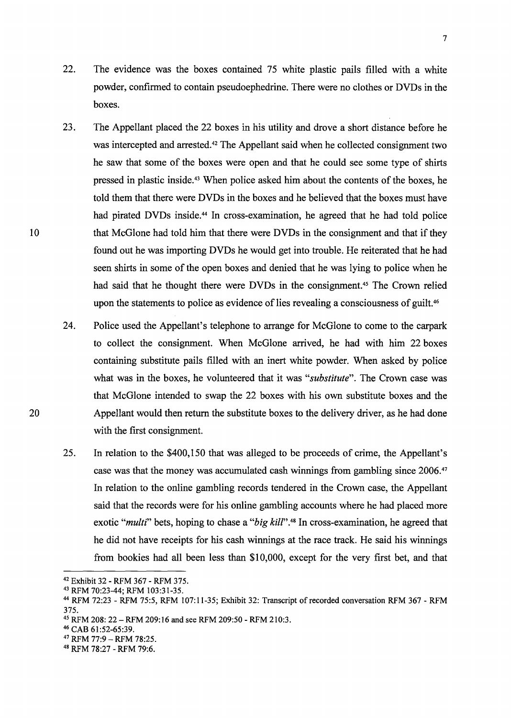- 22. The evidence was the boxes contained 75 white plastic pails filled with a white powder, confirmed to contain pseudoephedrine. There were no clothes or DVDs in the boxes.
- 23. The Appellant placed the 22 boxes in his utility and drove a short distance before he was intercepted and arrested.<sup>42</sup> The Appellant said when he collected consignment two he saw that some of the boxes were open and that he could see some type of shirts pressed in plastic inside. 43 When police asked him about the contents of the boxes, he told them that there were DVDs in the boxes and he believed that the boxes must have had pirated DVDs inside.<sup>44</sup> In cross-examination, he agreed that he had told police that McGlone had told him that there were DVDs in the consignment and that if they found out he was importing DVDs he would get into trouble. He reiterated that he had seen shirts in some of the open boxes and denied that he was lying to police when he had said that he thought there were DVDs in the consignment.<sup>45</sup> The Crown relied upon the statements to police as evidence of lies revealing a consciousness of guilt.<sup>46</sup>
- 24. Police used the Appellant's telephone to arrange for McGlone to come to the carpark to collect the consignment. When McGlone arrived, he had with him 22 boxes containing substitute pails filled with an inert white powder. When asked by police what was in the boxes, he volunteered that it was *"substitute".* The Crown case was that McGlone intended to swap the 22 boxes with his own substitute boxes and the Appellant would then return the substitute boxes to the delivery driver, as he had done with the first consignment.
- 25. In relation to the \$400,150 that was alleged to be proceeds of crime, the Appellant's case was that the money was accumulated cash winnings from gambling since 2006.47 In relation to the online gambling records tendered in the Crown case, the Appellant said that the records were for his online gambling accounts where he had placed more exotic *"multi"* bets, hoping to chase a *"big kil/".48* In cross-examination, he agreed that he did not have receipts for his cash winnings at the race track. He said his winnings from bookies had all been less than \$10,000, except for the very first bet, and that

20

<sup>42</sup> Exhibit 32 - RFM 367 - RFM 375.<br>43 RFM 70:23-44; RFM 103:31-35.<br>44 RFM 72:23 - RFM 75:5, RFM 107:11-35; Exhibit 32: Transcript of recorded conversation RFM 367 - RFM 375.

<sup>&</sup>lt;sup>45</sup> RFM 208: 22 - RFM 209:16 and see RFM 209:50 - RFM 210:3.<br><sup>46</sup> CAB 61:52-65:39.<br><sup>47</sup> RFM 77:9 - RFM 78:25.<br><sup>48</sup> RFM 78:27 - RFM 79:6.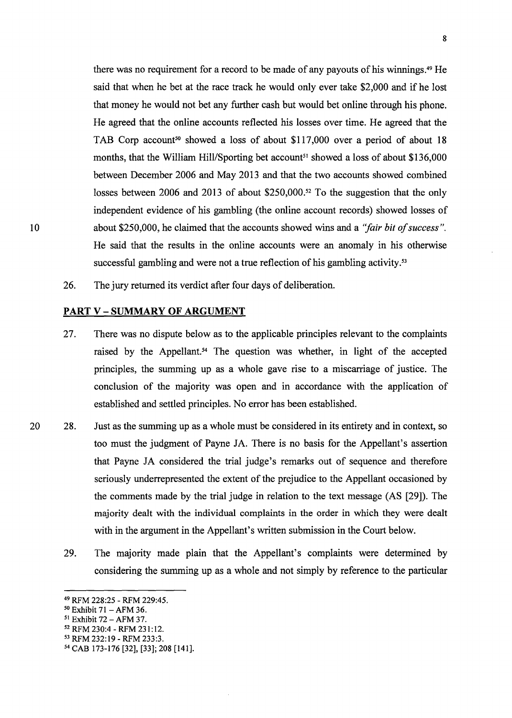there was no requirement for a record to be made of any payouts of his winnings.<sup>49</sup> He said that when he bet at the race track he would only ever take \$2,000 and if he lost that money he would not bet any further cash but would bet online through his phone. He agreed that the online accounts reflected his losses over time. He agreed that the TAB Corp account<sup>50</sup> showed a loss of about \$117,000 over a period of about 18 months, that the William Hill/Sporting bet account<sup>51</sup> showed a loss of about \$136,000 between December 2006 and May 2013 and that the two accounts showed combined losses between 2006 and 2013 of about \$250,000.52 To the suggestion that the only independent evidence of his gambling (the online account records) showed losses of about \$250,000, he claimed that the accounts showed wins and a *"fair bit of success".*  He said that the results in the online accounts were an anomaly in his otherwise successful gambling and were not a true reflection of his gambling activity.<sup>53</sup>

26. The jury returned its verdict after four days of deliberation.

#### **PART V- SUMMARY OF ARGUMENT**

- 27. There was no dispute below as to the applicable principles relevant to the complaints raised by the Appellant.<sup>54</sup> The question was whether, in light of the accepted principles, the summing up as a whole gave rise to a miscarriage of justice. The conclusion of the majority was open and in accordance with the application of established and settled principles. No error has been established.
- 20 28. Just as the summing up as a whole must be considered in its entirety and in context, so too must the judgment of Payne JA. There is no basis for the Appellant's assertion that Payne JA considered the trial judge's remarks out of sequence and therefore seriously underrepresented the extent of the prejudice to the Appellant occasioned by the comments made by the trial judge in relation to the text message (AS [29]). The majority dealt with the individual complaints in the order in which they were dealt with in the argument in the Appellant's written submission in the Court below.
	- 29. The majority made plain that the Appellant's complaints were determined by considering the summing up as a whole and not simply by reference to the particular

<sup>49</sup> RFM 228:25 - RFM 229:45.<br>
50 Exhibit 71 - AFM 36.<br>
51 Exhibit 72 - AFM 37.<br>
52 RFM 230:4 - RFM 231:12.<br>
53 RFM 232:19 - RFM 233:3.<br>
54 CAB 173-176 [32], [33]; 208 [141].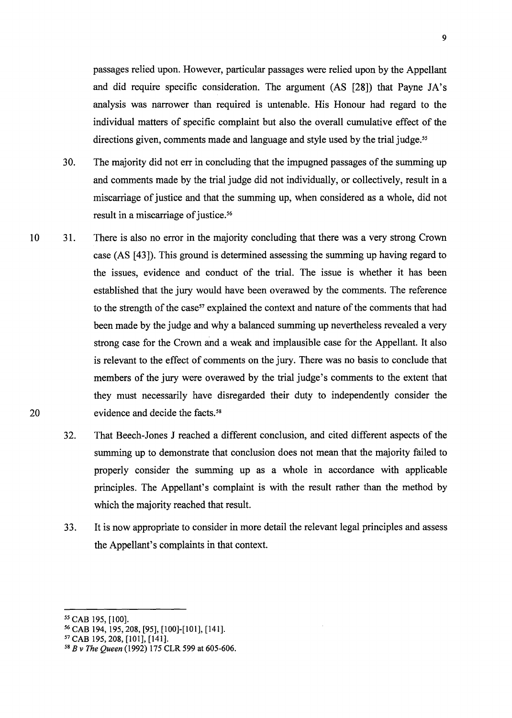passages relied upon. However, particular passages were relied upon by the Appellant and did require specific consideration. The argument (AS [28]) that Payne JA's analysis was narrower than required is untenable. His Honour had regard to the individual matters of specific complaint but also the overall cumulative effect of the directions given, comments made and language and style used by the trial judge. *5<sup>5</sup>*

- 30. The majority did not err in concluding that the impugned passages of the summing up and comments made by the trial judge did not individually, or collectively, result in a miscarriage of justice and that the summing up, when considered as a whole, did not result in a miscarriage of justice.<sup>56</sup>
- 10 31. There is also no error in the majority concluding that there was a very strong Crown case (AS [43]). This ground is determined assessing the summing up having regard to the issues, evidence and conduct of the trial. The issue is whether it has been established that the jury would have been overawed by the comments. The reference to the strength of the case<sup>57</sup> explained the context and nature of the comments that had been made by the judge and why a balanced summing up nevertheless revealed a very strong case for the Crown and a weak and implausible case for the Appellant. It also is relevant to the effect of comments on the jury. There was no basis to conclude that members of the jury were overawed by the trial judge's comments to the extent that they must necessarily have disregarded their duty to independently consider the evidence and decide the facts.<sup>58</sup>
	- 32. That Beech-Jones J reached a different conclusion, and cited different aspects of the summing up to demonstrate that conclusion does not mean that the majority failed to properly consider the summing up as a whole in accordance with applicable principles. The Appellant's complaint is with the result rather than the method by which the majority reached that result.
	- 33. It is now appropriate to consider in more detail the relevant legal principles and assess the Appellant's complaints in that context.

*<sup>55</sup>*CAB 195, [100]. 56 CAB 194, 195,208, [95], [100]-[101], [141]. 57 CAB 195,208, [101], [141]. 58 *B v The Queen* (1992) 175 CLR 599 at 605-606.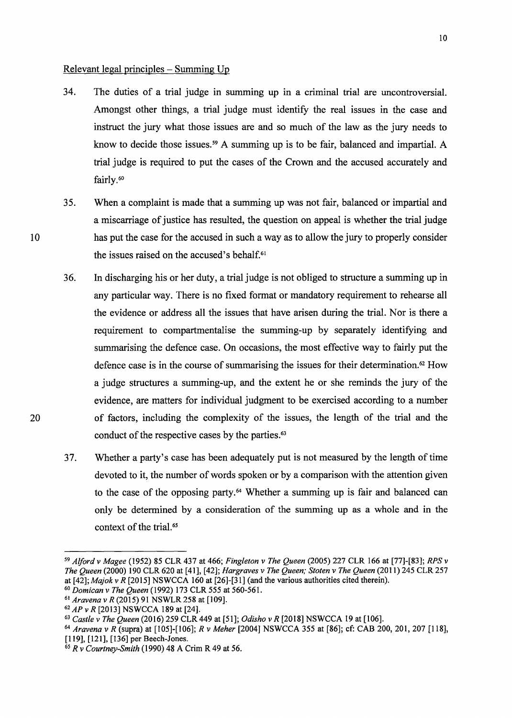## Relevant legal principles - Summing Up

- 34. The duties of a trial judge in summing up in a criminal trial are uncontroversial. Amongst other things, a trial judge must identify the real issues in the case and instruct the jury what those issues are and so much of the law as the jury needs to know to decide those issues.<sup>59</sup> A summing up is to be fair, balanced and impartial. A trial judge is required to put the cases of the Crown and the accused accurately and fairly.<sup>60</sup>
- 35. When a complaint is made that a summing up was not fair, balanced or impartial and a miscarriage of justice has resulted, the question on appeal is whether the trial judge has put the case for the accused in such a way as to allow the jury to properly consider the issues raised on the accused's behalf.<sup>61</sup>
- 36. In discharging his or her duty, a trial judge is not obliged to structure a summing up in any particular way. There is no fixed format or mandatory requirement to rehearse all the evidence or address all the issues that have arisen during the trial. Nor is there a requirement to compartmentalise the summing-up by separately identifying and summarising the defence case. On occasions, the most effective way to fairly put the defence case is in the course of summarising the issues for their determination.<sup>62</sup> How a judge structures a summing-up, and the extent he or she reminds the jury of the evidence, are matters for individual judgment to be exercised according to a number of factors, including the complexity of the issues, the length of the trial and the conduct of the respective cases by the parties.<sup>63</sup>
- 37. Whether a party's case has been adequately put is not measured by the length of time devoted to it, the number of words spoken or by a comparison with the attention given to the case of the opposing party.<sup>64</sup> Whether a summing up is fair and balanced can only be determined by a consideration of the summing up as a whole and in the context of the trial.<sup>65</sup>

20

<sup>59</sup>*Alford v Magee* (1952) 85 CLR 437 at 466; *Fingleton v The Queen* (2005) 227 CLR 166 at [77]-[83]; *RPS v The Queen* (2000) 190 CLR 620 at [41], [42]; *Hargraves v The Queen; Stoten v The Queen* (2011) 245 CLR 257 at [42]; *Majok v R* [2015] NSWCCA 160 at [26]-[31] (and the various authorities cited therein).

<sup>&</sup>lt;sup>60</sup> Domican v The Queen (1992) 173 CLR 555 at 560-561.<br>
<sup>61</sup> Aravena v R (2015) 91 NSWLR 258 at [109].<br>
<sup>62</sup> AP v R [2013] NSWCCA 189 at [24].<br>
<sup>63</sup> Castle v The Queen (2016) 259 CLR 449 at [51]; Odisho v R [2018] NSWCCA

<sup>64</sup>*Aravena v R* (supra) at [105]-[106]; *R v Meher* [2004] NSWCCA 355 at [86]; cf: CAB 200, 201, 207 [118],

<sup>&</sup>lt;sup>65</sup> R v Courtney-Smith (1990) 48 A Crim R 49 at 56.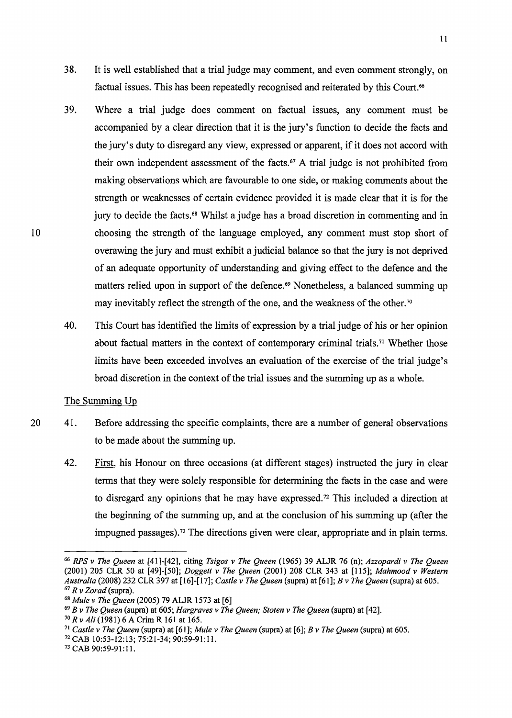- 38. It is well established that a trial judge may comment, and even comment strongly, on factual issues. This has been repeatedly recognised and reiterated by this Court.<sup>66</sup>
- 39. Where a trial judge does comment on factual issues, any comment must be accompanied by a clear direction that it is the jury's function to decide the facts and the jury's duty to disregard any view, expressed or apparent, if it does not accord with their own independent assessment of the facts. 67 A trial judge is not prohibited from making observations which are favourable to one side, or making comments about the strength or weaknesses of certain evidence provided it is made clear that it is for the jury to decide the facts. 68 Whilst a judge has a broad discretion in commenting and in choosing the strength of the language employed, any comment must stop short of overawing the jury and must exhibit a judicial balance so that the jury is not deprived of an adequate opportunity of understanding and giving effect to the defence and the matters relied upon in support of the defence.<sup>69</sup> Nonetheless, a balanced summing up may inevitably reflect the strength of the one, and the weakness of the other.<sup>70</sup>
- 40. This Court has identified the limits of expression by a trial judge of his or her opinion about factual matters in the context of contemporary criminal trials.<sup>71</sup> Whether those limits have been exceeded involves an evaluation of the exercise of the trial judge's broad discretion in the context of the trial issues and the summing up as a whole.

The Summing Up

- 41. Before addressing the specific complaints, there are a number of general observations to be made about the summing up.
	- 42. First, his Honour on three occasions (at different stages) instructed the jury in clear terms that they were solely responsible for determining the facts in the case and were to disregard any opinions that he may have expressed. 72 This included a direction at the beginning of the summing up, and at the conclusion of his summing up (after the impugned passages).<sup>73</sup> The directions given were clear, appropriate and in plain terms.

<sup>66</sup>*RPS v The Queen* at [41]-[42], citing *Tsigos v The Queen* (1965) 39 ALJR 76 (n); *Azzopardi v The Queen*  (2001) 205 CLR 50 at [49]-[50]; *Doggett v The Queen* (2001) 208 CLR 343 at [115]; *Mahmood v Western*  <sup>67</sup> R v Zorad (supra).<br>
<sup>68</sup> Mule v The Queen (2005) 79 ALJR 1573 at [6]<br>
<sup>69</sup> B v The Queen (supra) at 605; *Hargraves v The Queen; Stoten v The Queen* (supra) at [42].<br>
<sup>70</sup> R v Ali (1981) 6 A Crim R 161 at 165.<br>
<sup>71</sup>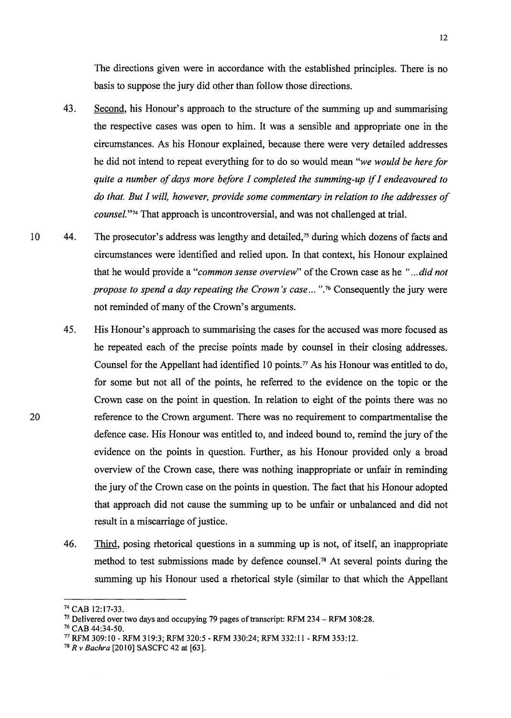The directions given were in accordance with the established principles. There is no basis to suppose the jury did other than follow those directions.

- 43. Second, his Honour's approach to the structure of the summing up and summarising the respective cases was open to him. It was a sensible and appropriate one in the circumstances. As his Honour explained, because there were very detailed addresses he did not intend to repeat everything for to do so would mean *"we would be here for quite a number of days more before I completed the summing-up* if *I endeavoured to do that. But I will, however, provide some commentary in relation to the addresses of counsel.*"<sup>74</sup> That approach is uncontroversial, and was not challenged at trial.
- 10 44. The prosecutor's address was lengthy and detailed,<sup>75</sup> during which dozens of facts and circumstances were identified and relied upon. In that context, his Honour explained that he would provide a *"common sense overview"* of the Crown case as he *" ... did not propose to spend a day repeating the Crown's case ...* "<sup>76</sup> Consequently the jury were not reminded of many of the Crown's arguments.
	- 45. His Honour's approach to summarising the cases for the accused was more focused as he repeated each of the precise points made by counsel in their closing addresses. Counsel for the Appellant had identified 10 points.<sup> $77$ </sup> As his Honour was entitled to do, for some but not all of the points, he referred to the evidence on the topic or the Crown case on the point in question. In relation to eight of the points there was no reference to the Crown argument. There was no requirement to compartmentalise the defence case. His Honour was entitled to, and indeed bound to, remind the jury of the evidence on the points in question. Further, as his Honour provided only a broad overview of the Crown case, there was nothing inappropriate or unfair in reminding the jury of the Crown case on the points in question. The fact that his Honour adopted that approach did not cause the summing up to be unfair or unbalanced and did not result in a miscarriage of justice.
	- 46. Third, posing rhetorical questions in a summing up is not, of itself, an inappropriate method to test submissions made by defence counsel.78 At several points during the summing up his Honour used a rhetorical style (similar to that which the Appellant

<sup>&</sup>lt;sup>74</sup> CAB 12:17-33.<br><sup>75</sup> Delivered over two days and occupying 79 pages of transcript: RFM 234 – RFM 308:28.<br><sup>76</sup> CAB 44:34-50.<br><sup>77</sup> RFM 309:10 - RFM 319:3; RFM 320:5 - RFM 330:24; RFM 332:11 - RFM 353:12.<br><sup>78</sup> R v Bachra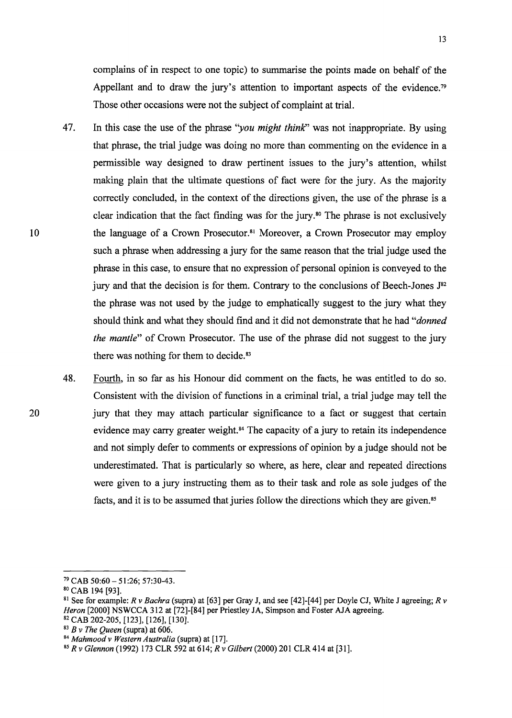complains of in respect to one topic) to summarise the points made on behalf of the Appellant and to draw the jury's attention to important aspects of the evidence.<sup>79</sup> Those other occasions were not the subject of complaint at trial.

- 47. In this case the use of the phrase "*you might think*" was not inappropriate. By using that phrase, the trial judge was doing no more than commenting on the evidence in a permissible way designed to draw pertinent issues to the jury's attention, whilst making plain that the ultimate questions of fact were for the jury. As the majority correctly concluded, in the context of the directions given, the use of the phrase is a clear indication that the fact finding was for the jury. 80 The phrase is not exclusively the language of a Crown Prosecutor.81 Moreover, a Crown Prosecutor may employ such a phrase when addressing a jury for the same reason that the trial judge used the phrase in this case, to ensure that no expression of personal opinion is conveyed to the jury and that the decision is for them. Contrary to the conclusions of Beech-Jones  $J^{82}$ the phrase was not used by the judge to emphatically suggest to the jury what they should think and what they should find and it did not demonstrate that he had *"donned the mantle*" of Crown Prosecutor. The use of the phrase did not suggest to the jury there was nothing for them to decide.<sup>83</sup>
- 48. Fourth, in so far as his Honour did comment on the facts, he was entitled to do so. Consistent with the division of functions in a criminal trial, a trial judge may tell the jury that they may attach particular significance to a fact or suggest that certain evidence may carry greater weight.<sup>84</sup> The capacity of a jury to retain its independence and not simply defer to comments or expressions of opinion by a judge should not be underestimated. That is particularly so where, as here, clear and repeated directions were given to a jury instructing them as to their task and role as sole judges of the facts, and it is to be assumed that juries follow the directions which they are given.<sup>85</sup>

 $79$  CAB 50:60 - 51:26; 57:30-43.<br><sup>80</sup> CAB 194 [93].

<sup>&</sup>lt;sup>81</sup> See for example: *R v Bachra* (supra) at [63] per Gray J, and see [42]-[44] per Doyle CJ, White J agreeing; *R v Heron* [2000] NSWCCA 312 at [72]-[84] per Priestley JA, Simpson and Foster AJA agreeing.

<sup>&</sup>lt;sup>82</sup> CAB 202-205, [123], [126], [130].<br><sup>83</sup> B v The Queen (supra) at 606.<br><sup>84</sup> Mahmood v Western Australia (supra) at [17].<br><sup>85</sup> R v Glennon (1992) 173 CLR 592 at 614; R v Gilbert (2000) 201 CLR 414 at [31].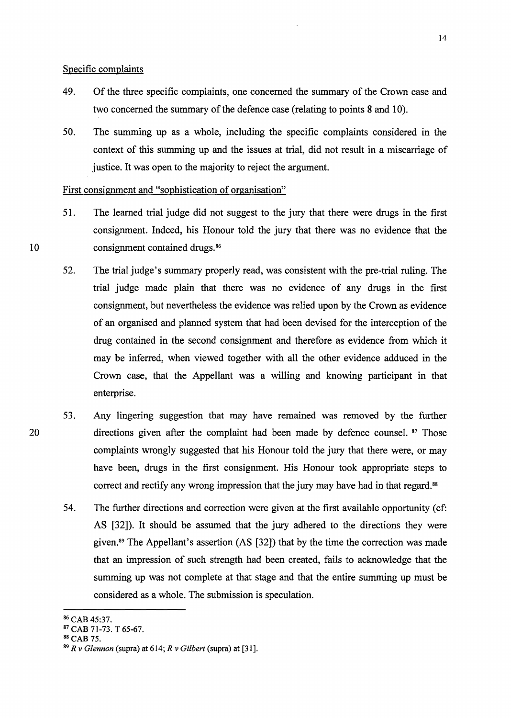### Specific complaints

- 49. Of the three specific complaints, one concerned the summary of the Crown case and two concerned the summary of the defence case (relating to points 8 and 10).
- 50. The summing up as a whole, including the specific complaints considered in the context of this summing up and the issues at trial, did not result in a miscarriage of justice. It was open to the majority to reject the argument.

### First consignment and "sophistication of organisation"

- 51. The learned trial judge did not suggest to the jury that there were drugs in the first consignment. Indeed, his Honour told the jury that there was no evidence that the consignment contained drugs. 86
- 52. The trial judge's summary properly read, was consistent with the pre-trial ruling. The trial judge made plain that there was no evidence of any drugs in the first consignment, but nevertheless the evidence was relied upon by the Crown as evidence of an organised and planned system that had been devised for the interception of the drug contained in the second consignment and therefore as evidence from which it may be inferred, when viewed together with all the other evidence adduced in the Crown case, that the Appellant was a willing and knowing participant in that enterprise.
- 53. Any lingering suggestion that may have remained was removed by the further directions given after the complaint had been made by defence counsel. 87 Those complaints wrongly suggested that his Honour told the jury that there were, or may have been, drugs in the first consignment. His Honour took appropriate steps to correct and rectify any wrong impression that the jury may have had in that regard.<sup>88</sup>
- 54. The further directions and correction were given at the first available opportunity (cf: AS [32]). It should be assumed that the jury adhered to the directions they were given. 89 The Appellant's assertion (AS [32]) that by the time the correction was made that an impression of such strength had been created, fails to acknowledge that the summing up was not complete at that stage and that the entire summing up must be considered as a whole. The submission is speculation.

20

<sup>86</sup> CAB 45:37. 87 CAB 71-73. T 65-67. 88 CAB 75. 89 *R v Glennon* (supra) at 614; *R v Gilbert* (supra) at [31].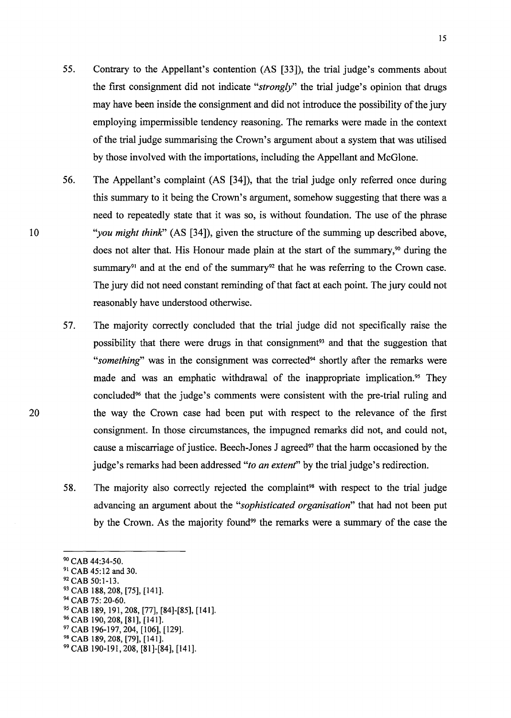- 55. Contrary to the Appellant's contention (AS [33]), the trial judge's comments about the first consignment did not indicate *"strongly"* the trial judge's opinion that drugs may have been inside the consignment and did not introduce the possibility of the jury employing impermissible tendency reasoning. The remarks were made in the context of the trial judge summarising the Crown's argument about a system that was utilised by those involved with the importations, including the Appellant and McGlone.
- 56. The Appellant's complaint (AS [34]), that the trial judge only referred once during this summary to it being the Crown's argument, somehow suggesting that there was a need to repeatedly state that it was so, is without foundation. The use of the phrase *"you might think"* (AS [34]), given the structure of the summing up described above, does not alter that. His Honour made plain at the start of the summary,<sup> $90$ </sup> during the summary<sup>91</sup> and at the end of the summary<sup>92</sup> that he was referring to the Crown case. The jury did not need constant reminding of that fact at each point. The jury could not reasonably have understood otherwise.
- 57. The majority correctly concluded that the trial judge did not specifically raise the possibility that there were drugs in that consignment<sup>93</sup> and that the suggestion that "something" was in the consignment was corrected<sup>94</sup> shortly after the remarks were made and was an emphatic withdrawal of the inappropriate implication.<sup>95</sup> They concluded96 that the judge's comments were consistent with the pre-trial ruling and the way the Crown case had been put with respect to the relevance of the first consignment. In those circumstances, the impugned remarks did not, and could not, cause a miscarriage of justice. Beech-Jones J agreed<sup>97</sup> that the harm occasioned by the judge's remarks had been addressed *"to an extent"* by the trial judge's redirection.
- 58. The majority also correctly rejected the complaint<sup>98</sup> with respect to the trial judge advancing an argument about the *"sophisticated organisation"* that had not been put by the Crown. As the majority found<sup>99</sup> the remarks were a summary of the case the

10

<sup>&</sup>lt;sup>90</sup> CAB 44:34-50.

<sup>&</sup>lt;sup>90</sup> CAB 44:34-50.<br><sup>91</sup> CAB 45:12 and 30.<br><sup>92</sup> CAB 50:1-13.<br><sup>93</sup> CAB 188, 208, [75], [141].<br><sup>94</sup> CAB 75: 20-60.<br><sup>95</sup> CAB 189, 191, 208, [77], [84]-[85], [141].<br><sup>96</sup> CAB 190, 208, [81], [141].<br><sup>97</sup> CAB 196-197, 204, [106],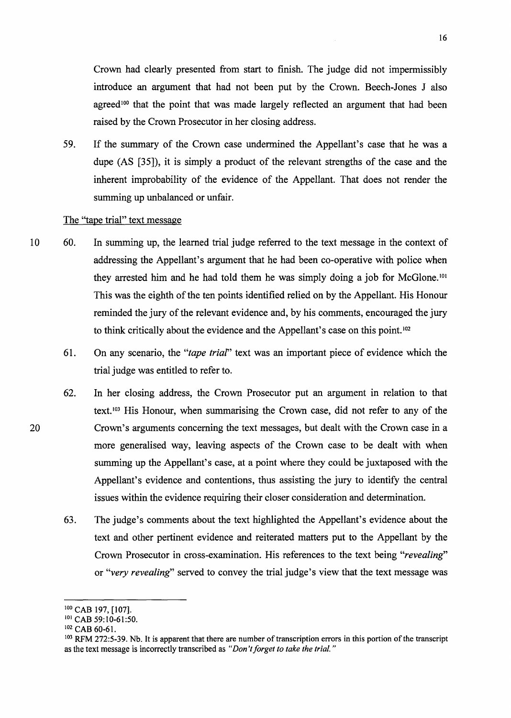Crown had clearly presented from start to finish. The judge did not impermissibly introduce an argument that had not been put by the Crown. Beech-Jones J also agreed<sup>100</sup> that the point that was made largely reflected an argument that had been raised by the Crown Prosecutor in her closing address.

59. If the summary of the Crown case undermined the Appellant's case that he was a dupe (AS [35]), it is simply a product of the relevant strengths of the case and the inherent improbability of the evidence of the Appellant. That does not render the summing up unbalanced or unfair.

# The "tape trial" text message

- 10 60. In summing up, the learned trial judge referred to the text message in the context of addressing the Appellant's argument that he had been co-operative with police when they arrested him and he had told them he was simply doing a job for McGlone. <sup>101</sup> This was the eighth of the ten points identified relied on by the Appellant. His Honour reminded the jury of the relevant evidence and, by his comments, encouraged the jury to think critically about the evidence and the Appellant's case on this point. <sup>102</sup>
	- 61. On any scenario, the *"tape trial"* text was an important piece of evidence which the trial judge was entitled to refer to.
	- 62. In her closing address, the Crown Prosecutor put an argument in relation to that text. 103 His Honour, when summarising the Crown case, did not refer to any of the Crown's arguments concerning the text messages, but dealt with the Crown case in a more generalised way, leaving aspects of the Crown case to be dealt with when summing up the Appellant's case, at a point where they could be juxtaposed with the Appellant's evidence and contentions, thus assisting the jury to identify the central issues within the evidence requiring their closer consideration and determination.
	- 63. The judge's comments about the text highlighted the Appellant's evidence about the text and other pertinent evidence and reiterated matters put to the Appellant by the Crown Prosecutor in cross-examination. His references to the text being *"revealing"*  or *"very revealing"* served to convey the trial judge's view that the text message was

<sup>&</sup>lt;sup>101</sup> CAB 197, [107].<br><sup>101</sup> CAB 59:10-61:50.<br><sup>102</sup> CAB 60-61.<br><sup>103</sup> RFM 272:5-39. Nb. It is apparent that there are number of transcription errors in this portion of the transcript as the text message is incorrectly transcribed as *"Don't forget to take the trial.* "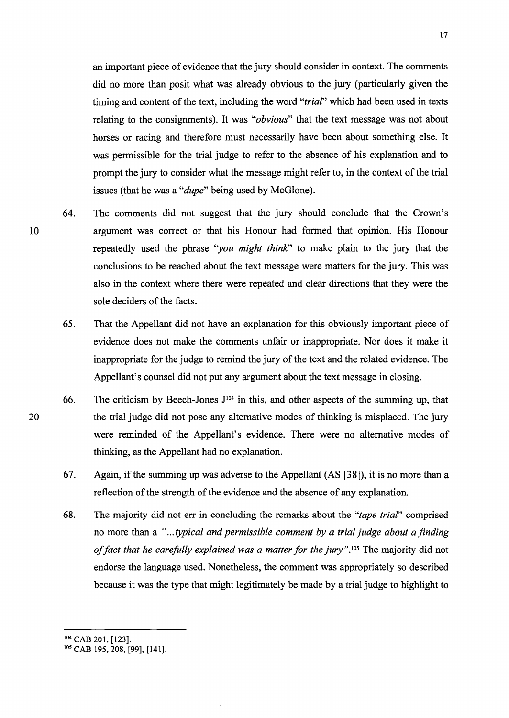an important piece of evidence that the jury should consider in context. The comments did no more than posit what was already obvious to the jury (particularly given the timing and content of the text, including the word *"trial"* which had been used in texts relating to the consignments). It was *"obvious"* that the text message was not about horses or racing and therefore must necessarily have been about something else. It was permissible for the trial judge to refer to the absence of his explanation and to prompt the jury to consider what the message might refer to, in the context of the trial issues (that he was a *"dupe"* being used by McGlone).

- 64. The comments did not suggest that the jury should conclude that the Crown's argument was correct or that his Honour had formed that opinion. His Honour repeatedly used the phrase "*you might think*" to make plain to the jury that the conclusions to be reached about the text message were matters for the jury. This was also in the context where there were repeated and clear directions that they were the sole deciders of the facts.
	- 65. That the Appellant did not have an explanation for this obviously important piece of evidence does not make the comments unfair or inappropriate. Nor does it make it inappropriate for the judge to remind the jury of the text and the related evidence. The Appellant's counsel did not put any argument about the text message in closing.
	- 66. The criticism by Beech-Jones  $J^{104}$  in this, and other aspects of the summing up, that the trial judge did not pose any alternative modes of thinking is misplaced. The jury were reminded of the Appellant's evidence. There were no alternative modes of thinking, as the Appellant had no explanation.
	- 67. Again, if the summing up was adverse to the Appellant (AS [38]), it is no more than a reflection of the strength of the evidence and the absence of any explanation.
	- 68. The majority did not err in concluding the remarks about the *"tape trial"* comprised no more than a *" ... typical and permissible comment by a trial judge about a finding*  of fact that he carefully explained was a matter for the jury".<sup>105</sup> The majority did not endorse the language used. Nonetheless, the comment was appropriately so described because it was the type that might legitimately be made by a trial judge to highlight to

<sup>&</sup>lt;sup>104</sup> CAB 201, [123].<br><sup>105</sup> CAB 195, 208, [99], [141].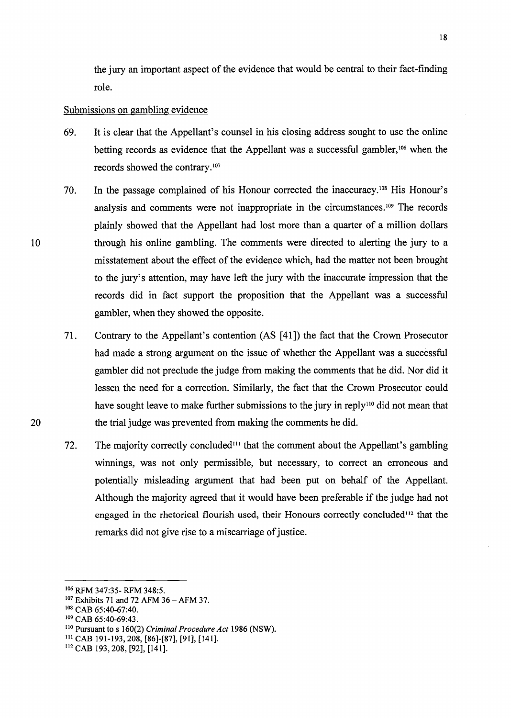the jury an important aspect of the evidence that would be central to their fact-finding role.

### Submissions on gambling evidence

- 69. It is clear that the Appellant's counsel in his closing address sought to use the online betting records as evidence that the Appellant was a successful gambler, 106 when the records showed the contrary. 107
- 70. In the passage complained of his Honour corrected the inaccuracy. 108 His Honour's analysis and comments were not inappropriate in the circumstances.<sup>109</sup> The records plainly showed that the Appellant had lost more than a quarter of a million dollars through his online gambling. The comments were directed to alerting the jury to a misstatement about the effect of the evidence which, had the matter not been brought to the jury's attention, may have left the jury with the inaccurate impression that the records did in fact support the proposition that the Appellant was a successful gambler, when they showed the opposite.
- 71. Contrary to the Appellant's contention (AS [41]) the fact that the Crown Prosecutor had made a strong argument on the issue of whether the Appellant was a successful gambler did not preclude the judge from making the comments that he did. Nor did it lessen the need for a correction. Similarly, the fact that the Crown Prosecutor could have sought leave to make further submissions to the jury in reply<sup>110</sup> did not mean that the trial judge was prevented from making the comments he did.
- 72. The majority correctly concluded<sup>111</sup> that the comment about the Appellant's gambling winnings, was not only permissible, but necessary, to correct an erroneous and potentially misleading argument that had been put on behalf of the Appellant. Although the majority agreed that it would have been preferable if the judge had not engaged in the rhetorical flourish used, their Honours correctly concluded<sup>112</sup> that the remarks did not give rise to a miscarriage of justice.

20

<sup>106</sup> RFM 347:35- RFM 348:5.

<sup>&</sup>lt;sup>107</sup> Exhibits 71 and 72 AFM 36 - AFM 37.<br><sup>108</sup> CAB 65:40-67:40.

<sup>108</sup>CAB 65:40-67:40. 109 CAB 65:40-69:43. 110 Pursuant to s 160(2) *Criminal Procedure Act* 1986 (NSW).

Ill CAB 191-193,208, [86]-[87], [91], [141]. 112 CAB 193,208, [92], [141].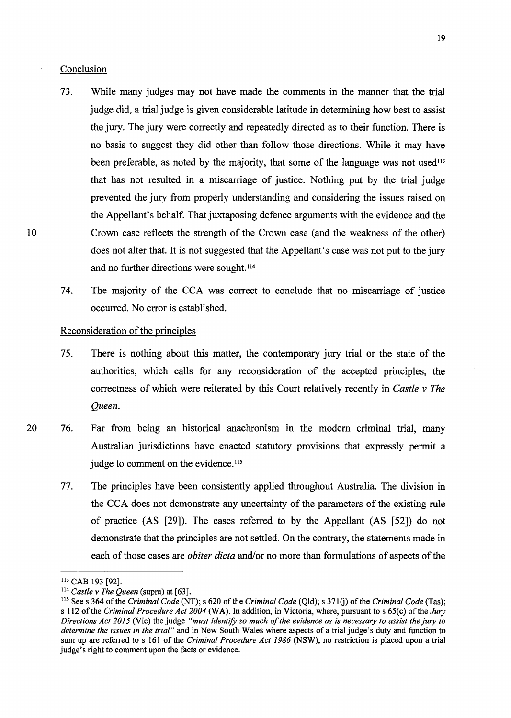#### Conclusion

- 73. While many judges may not have made the comments in the manner that the trial judge did, a trial judge is given considerable latitude in determining how best to assist the jury. The jury were correctly and repeatedly directed as to their function. There is no basis to suggest they did other than follow those directions. While it may have been preferable, as noted by the majority, that some of the language was not used<sup>113</sup> that has not resulted in a miscarriage of justice. Nothing put by the trial judge prevented the jury from properly understanding and considering the issues raised on the Appellant's behalf. That juxtaposing defence arguments with the evidence and the Crown case reflects the strength of the Crown case (and the weakness of the other) does not alter that. It is not suggested that the Appellant's case was not put to the jury and no further directions were sought. <sup>114</sup>
- 74. The majority of the CCA was correct to conclude that no miscarriage of justice occurred. No error is established.

#### Reconsideration of the principles

- 75. There is nothing about this matter, the contemporary jury trial or the state of the authorities, which calls for any reconsideration of the accepted principles, the correctness of which were reiterated by this Court relatively recently in *Castle v The Queen.*
- 20 76. Far from being an historical anachronism in the modem criminal trial, many Australian jurisdictions have enacted statutory provisions that expressly permit a judge to comment on the evidence.<sup>115</sup>
	- 77. The principles have been consistently applied throughout Australia. The division in the CCA does not demonstrate any uncertainty of the parameters of the existing rule of practice (AS [29]). The cases referred to by the Appellant (AS [52]) do not demonstrate that the principles are not settled. On the contrary, the statements made in each of those cases are *obiter dicta* and/or no more than formulations of aspects of the

<sup>113</sup> CAB 193 [92].

<sup>114</sup> *Castle v The Queen* (supra) at [63].

<sup>115</sup>Sees 364 of the *Criminal Code* (NT); s 620 of the *Criminal Code* (Qld); s 3710) of the *Criminal Code* (Tas); s 112 of the *Criminal Procedure Act 2004* (WA). In addition, in Victoria, where, pursuant to s 65(c) of the *Jury Directions Act 2015 (Vic) the judge "must identify so much of the evidence as is necessary to assist the jury to determine the issues in the trial"* and in New South Wales where aspects of a trial judge's duty and function to sum up are referred to s 161 of the *Criminal Procedure Act 1986* (NSW), no restriction is placed upon a trial judge's right to comment upon the facts or evidence.